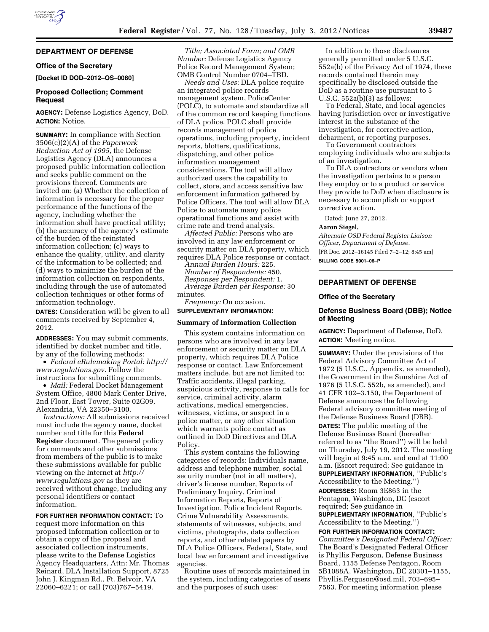# **DEPARTMENT OF DEFENSE**

# **Office of the Secretary**

**[Docket ID DOD–2012–OS–0080]** 

# **Proposed Collection; Comment Request**

**AGENCY:** Defense Logistics Agency, DoD. **ACTION:** Notice.

**SUMMARY:** In compliance with Section 3506(c)(2)(A) of the *Paperwork Reduction Act of 1995,* the Defense Logistics Agency (DLA) announces a proposed public information collection and seeks public comment on the provisions thereof. Comments are invited on: (a) Whether the collection of information is necessary for the proper performance of the functions of the agency, including whether the information shall have practical utility; (b) the accuracy of the agency's estimate of the burden of the reinstated information collection; (c) ways to enhance the quality, utility, and clarity of the information to be collected; and (d) ways to minimize the burden of the information collection on respondents, including through the use of automated collection techniques or other forms of information technology.

**DATES:** Consideration will be given to all comments received by September 4, 2012.

**ADDRESSES:** You may submit comments, identified by docket number and title, by any of the following methods:

• *Federal eRulemaking Portal: [http://](http://www.regulations.gov)  [www.regulations.gov.](http://www.regulations.gov)* Follow the instructions for submitting comments.

• *Mail:* Federal Docket Management System Office, 4800 Mark Center Drive, 2nd Floor, East Tower, Suite 02G09, Alexandria, VA 22350–3100.

*Instructions:* All submissions received must include the agency name, docket number and title for this **Federal Register** document. The general policy for comments and other submissions from members of the public is to make these submissions available for public viewing on the Internet at *[http://](http://www.regulations.gov) [www.regulations.gov](http://www.regulations.gov)* as they are received without change, including any personal identifiers or contact information.

# **FOR FURTHER INFORMATION CONTACT:** To

request more information on this proposed information collection or to obtain a copy of the proposal and associated collection instruments, please write to the Defense Logistics Agency Headquarters, Attn: Mr. Thomas Reinard, DLA Installation Support, 8725 John J. Kingman Rd., Ft. Belvoir, VA 22060–6221; or call (703)767–5419.

*Title; Associated Form; and OMB Number:* Defense Logistics Agency Police Record Management System; OMB Control Number 0704–TBD.

*Needs and Uses:* DLA police require an integrated police records management system, PoliceCenter (POLC), to automate and standardize all of the common record keeping functions of DLA police. POLC shall provide records management of police operations, including property, incident reports, blotters, qualifications, dispatching, and other police information management considerations. The tool will allow authorized users the capability to collect, store, and access sensitive law enforcement information gathered by Police Officers. The tool will allow DLA Police to automate many police operational functions and assist with crime rate and trend analysis.

*Affected Public:* Persons who are involved in any law enforcement or security matter on DLA property, which requires DLA Police response or contact.

*Annual Burden Hours:* 225. *Number of Respondents:* 450. *Responses per Respondent:* 1. *Average Burden per Response:* 30 minutes.

*Frequency:* On occasion.

# **SUPPLEMENTARY INFORMATION:**

### **Summary of Information Collection**

This system contains information on persons who are involved in any law enforcement or security matter on DLA property, which requires DLA Police response or contact. Law Enforcement matters include, but are not limited to: Traffic accidents, illegal parking, suspicious activity, response to calls for service, criminal activity, alarm activations, medical emergencies, witnesses, victims, or suspect in a police matter, or any other situation which warrants police contact as outlined in DoD Directives and DLA Policy.

This system contains the following categories of records: Individuals name, address and telephone number, social security number (not in all matters), driver's license number, Reports of Preliminary Inquiry, Criminal Information Reports, Reports of Investigation, Police Incident Reports, Crime Vulnerability Assessments, statements of witnesses, subjects, and victims, photographs, data collection reports, and other related papers by DLA Police Officers, Federal, State, and local law enforcement and investigative agencies.

Routine uses of records maintained in the system, including categories of users and the purposes of such uses:

In addition to those disclosures generally permitted under 5 U.S.C. 552a(b) of the Privacy Act of 1974, these records contained therein may specifically be disclosed outside the DoD as a routine use pursuant to 5 U.S.C. 552a(b)(3) as follows:

To Federal, State, and local agencies having jurisdiction over or investigative interest in the substance of the investigation, for corrective action, debarment, or reporting purposes.

To Government contractors employing individuals who are subjects of an investigation.

To DLA contractors or vendors when the investigation pertains to a person they employ or to a product or service they provide to DoD when disclosure is necessary to accomplish or support corrective action.

Dated: June 27, 2012.

### **Aaron Siegel,**

*Alternate OSD Federal Register Liaison Officer, Department of Defense.*  [FR Doc. 2012–16145 Filed 7–2–12; 8:45 am]

**BILLING CODE 5001–06–P** 

# **DEPARTMENT OF DEFENSE**

### **Office of the Secretary**

### **Defense Business Board (DBB); Notice of Meeting**

**AGENCY:** Department of Defense, DoD. **ACTION:** Meeting notice.

**SUMMARY:** Under the provisions of the Federal Advisory Committee Act of 1972 (5 U.S.C., Appendix, as amended), the Government in the Sunshine Act of 1976 (5 U.S.C. 552b, as amended), and 41 CFR 102–3.150, the Department of Defense announces the following Federal advisory committee meeting of the Defense Business Board (DBB). **DATES:** The public meeting of the Defense Business Board (hereafter referred to as ''the Board'') will be held on Thursday, July 19, 2012. The meeting will begin at 9:45 a.m. and end at 11:00 a.m. (Escort required; See guidance in **SUPPLEMENTARY INFORMATION**, ''Public's Accessibility to the Meeting.'') **ADDRESSES:** Room 3E863 in the Pentagon, Washington, DC (escort required; See guidance in **SUPPLEMENTARY INFORMATION**, ''Public's Accessibility to the Meeting.'')

**FOR FURTHER INFORMATION CONTACT:**  *Committee's Designated Federal Officer:*  The Board's Designated Federal Officer is Phyllis Ferguson, Defense Business Board, 1155 Defense Pentagon, Room 5B1088A, Washington, DC 20301–1155, Phyllis.Ferguson@osd.mil, 703–695– 7563. For meeting information please